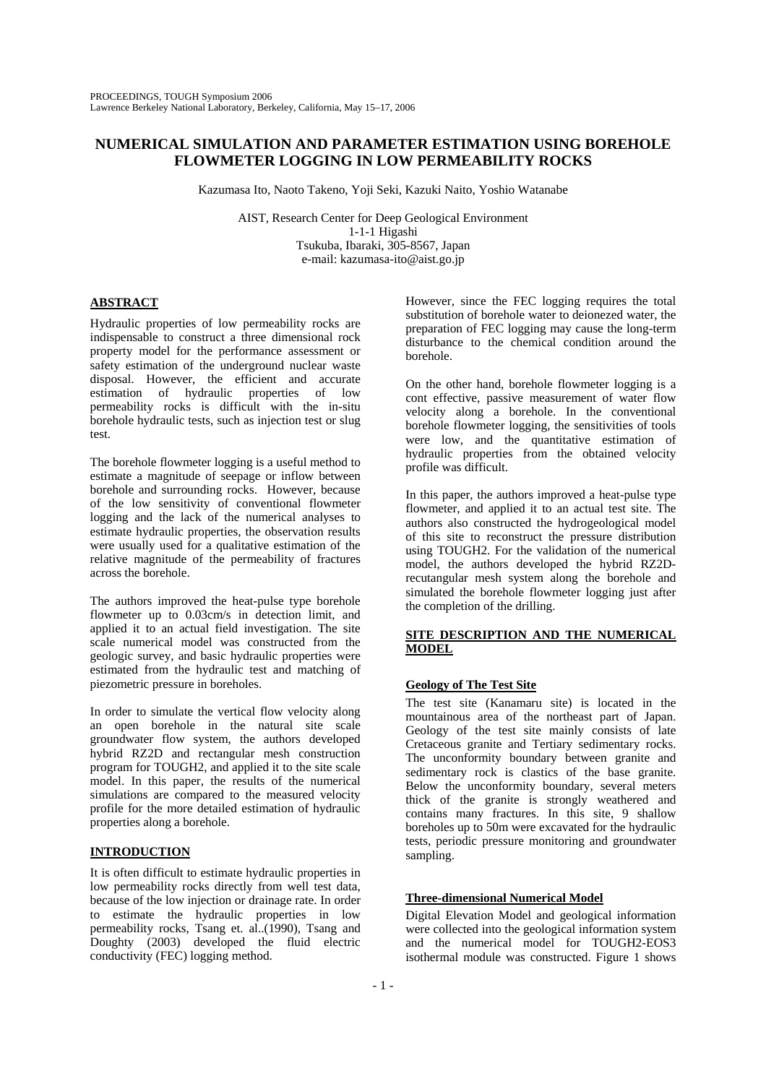# **NUMERICAL SIMULATION AND PARAMETER ESTIMATION USING BOREHOLE FLOWMETER LOGGING IN LOW PERMEABILITY ROCKS**

Kazumasa Ito, Naoto Takeno, Yoji Seki, Kazuki Naito, Yoshio Watanabe

AIST, Research Center for Deep Geological Environment 1-1-1 Higashi Tsukuba, Ibaraki, 305-8567, Japan e-mail: kazumasa-ito@aist.go.jp

## **ABSTRACT**

Hydraulic properties of low permeability rocks are indispensable to construct a three dimensional rock property model for the performance assessment or safety estimation of the underground nuclear waste disposal. However, the efficient and accurate estimation of hydraulic properties of low permeability rocks is difficult with the in-situ borehole hydraulic tests, such as injection test or slug test.

The borehole flowmeter logging is a useful method to estimate a magnitude of seepage or inflow between borehole and surrounding rocks. However, because of the low sensitivity of conventional flowmeter logging and the lack of the numerical analyses to estimate hydraulic properties, the observation results were usually used for a qualitative estimation of the relative magnitude of the permeability of fractures across the borehole.

The authors improved the heat-pulse type borehole flowmeter up to 0.03cm/s in detection limit, and applied it to an actual field investigation. The site scale numerical model was constructed from the geologic survey, and basic hydraulic properties were estimated from the hydraulic test and matching of piezometric pressure in boreholes.

In order to simulate the vertical flow velocity along an open borehole in the natural site scale groundwater flow system, the authors developed hybrid RZ2D and rectangular mesh construction program for TOUGH2, and applied it to the site scale model. In this paper, the results of the numerical simulations are compared to the measured velocity profile for the more detailed estimation of hydraulic properties along a borehole.

## **INTRODUCTION**

It is often difficult to estimate hydraulic properties in low permeability rocks directly from well test data, because of the low injection or drainage rate. In order to estimate the hydraulic properties in low permeability rocks, Tsang et. al..(1990), Tsang and Doughty (2003) developed the fluid electric conductivity (FEC) logging method.

However, since the FEC logging requires the total substitution of borehole water to deionezed water, the preparation of FEC logging may cause the long-term disturbance to the chemical condition around the borehole.

On the other hand, borehole flowmeter logging is a cont effective, passive measurement of water flow velocity along a borehole. In the conventional borehole flowmeter logging, the sensitivities of tools were low, and the quantitative estimation of hydraulic properties from the obtained velocity profile was difficult.

In this paper, the authors improved a heat-pulse type flowmeter, and applied it to an actual test site. The authors also constructed the hydrogeological model of this site to reconstruct the pressure distribution using TOUGH2. For the validation of the numerical model, the authors developed the hybrid RZ2Drecutangular mesh system along the borehole and simulated the borehole flowmeter logging just after the completion of the drilling.

### **SITE DESCRIPTION AND THE NUMERICAL MODEL**

## **Geology of The Test Site**

The test site (Kanamaru site) is located in the mountainous area of the northeast part of Japan. Geology of the test site mainly consists of late Cretaceous granite and Tertiary sedimentary rocks. The unconformity boundary between granite and sedimentary rock is clastics of the base granite. Below the unconformity boundary, several meters thick of the granite is strongly weathered and contains many fractures. In this site, 9 shallow boreholes up to 50m were excavated for the hydraulic tests, periodic pressure monitoring and groundwater sampling.

## **Three-dimensional Numerical Model**

Digital Elevation Model and geological information were collected into the geological information system and the numerical model for TOUGH2-EOS3 isothermal module was constructed. Figure 1 shows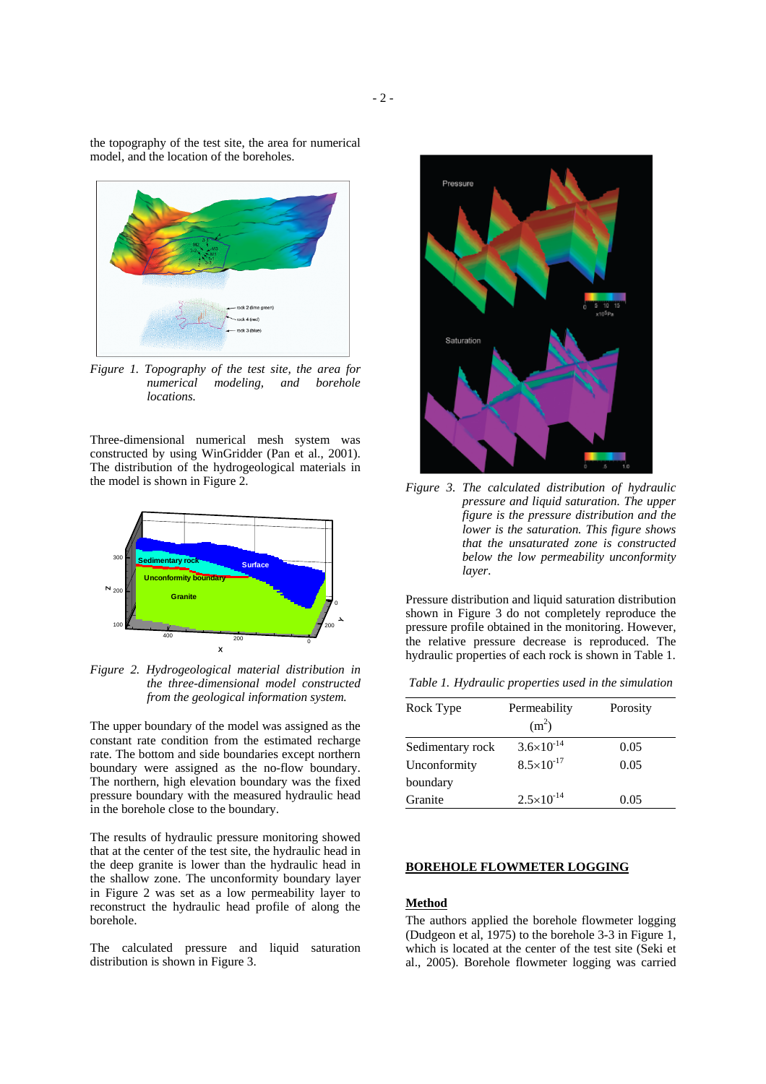the topography of the test site, the area for numerical model, and the location of the boreholes.



*Figure 1. Topography of the test site, the area for numerical modeling, and borehole locations.* 

Three-dimensional numerical mesh system was constructed by using WinGridder (Pan et al., 2001). The distribution of the hydrogeological materials in the model is shown in Figure 2.



*Figure 2. Hydrogeological material distribution in the three-dimensional model constructed from the geological information system.* 

The upper boundary of the model was assigned as the constant rate condition from the estimated recharge rate. The bottom and side boundaries except northern boundary were assigned as the no-flow boundary. The northern, high elevation boundary was the fixed pressure boundary with the measured hydraulic head in the borehole close to the boundary.

The results of hydraulic pressure monitoring showed that at the center of the test site, the hydraulic head in the deep granite is lower than the hydraulic head in the shallow zone. The unconformity boundary layer in Figure 2 was set as a low permeability layer to reconstruct the hydraulic head profile of along the borehole.

The calculated pressure and liquid saturation distribution is shown in Figure 3.



*Figure 3. The calculated distribution of hydraulic pressure and liquid saturation. The upper figure is the pressure distribution and the lower is the saturation. This figure shows that the unsaturated zone is constructed below the low permeability unconformity layer.* 

Pressure distribution and liquid saturation distribution shown in Figure 3 do not completely reproduce the pressure profile obtained in the monitoring. However, the relative pressure decrease is reproduced. The hydraulic properties of each rock is shown in Table 1.

| Table 1. Hydraulic properties used in the simulation |  |  |
|------------------------------------------------------|--|--|
|                                                      |  |  |

| Rock Type        | Permeability<br>(m <sup>2</sup> ) | Porosity |
|------------------|-----------------------------------|----------|
|                  |                                   |          |
| Sedimentary rock | $3.6 \times 10^{-14}$             | 0.05     |
| Unconformity     | $8.5 \times 10^{-17}$             | 0.05     |
| boundary         |                                   |          |
| Granite          | $2.5 \times 10^{-14}$             | 0.05     |

### **BOREHOLE FLOWMETER LOGGING**

## **Method**

The authors applied the borehole flowmeter logging (Dudgeon et al, 1975) to the borehole 3-3 in Figure 1, which is located at the center of the test site (Seki et al., 2005). Borehole flowmeter logging was carried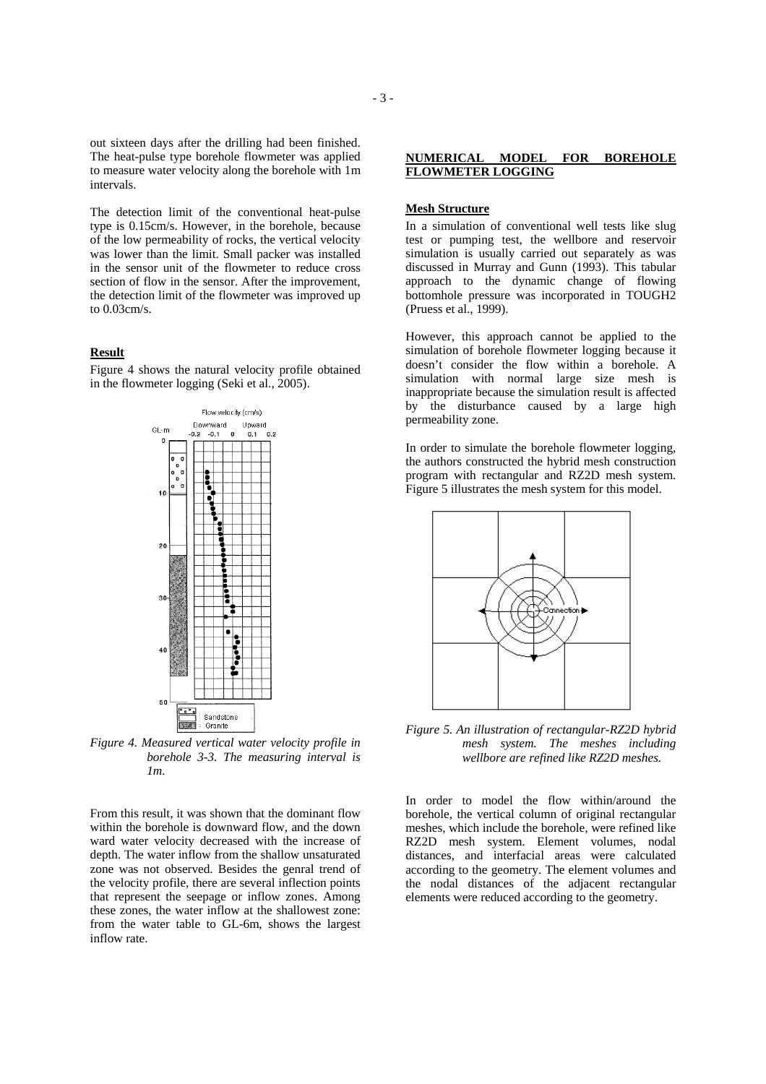out sixteen days after the drilling had been finished. The heat-pulse type borehole flowmeter was applied to measure water velocity along the borehole with 1m intervals.

The detection limit of the conventional heat-pulse type is 0.15cm/s. However, in the borehole, because of the low permeability of rocks, the vertical velocity was lower than the limit. Small packer was installed in the sensor unit of the flowmeter to reduce cross section of flow in the sensor. After the improvement, the detection limit of the flowmeter was improved up to 0.03cm/s.

### **Result**

Figure 4 shows the natural velocity profile obtained in the flowmeter logging (Seki et al., 2005).



*Figure 4. Measured vertical water velocity profile in borehole 3-3. The measuring interval is 1m.* 

From this result, it was shown that the dominant flow within the borehole is downward flow, and the down ward water velocity decreased with the increase of depth. The water inflow from the shallow unsaturated zone was not observed. Besides the genral trend of the velocity profile, there are several inflection points that represent the seepage or inflow zones. Among these zones, the water inflow at the shallowest zone: from the water table to GL-6m, shows the largest inflow rate.

### **Mesh Structure**

In a simulation of conventional well tests like slug test or pumping test, the wellbore and reservoir simulation is usually carried out separately as was discussed in Murray and Gunn (1993). This tabular approach to the dynamic change of flowing bottomhole pressure was incorporated in TOUGH2 (Pruess et al., 1999).

However, this approach cannot be applied to the simulation of borehole flowmeter logging because it doesn't consider the flow within a borehole. A simulation with normal large size mesh is inappropriate because the simulation result is affected by the disturbance caused by a large high permeability zone.

In order to simulate the borehole flowmeter logging, the authors constructed the hybrid mesh construction program with rectangular and RZ2D mesh system. Figure 5 illustrates the mesh system for this model.



*Figure 5. An illustration of rectangular-RZ2D hybrid mesh system. The meshes including wellbore are refined like RZ2D meshes.* 

In order to model the flow within/around the borehole, the vertical column of original rectangular meshes, which include the borehole, were refined like RZ2D mesh system. Element volumes, nodal distances, and interfacial areas were calculated according to the geometry. The element volumes and the nodal distances of the adjacent rectangular elements were reduced according to the geometry.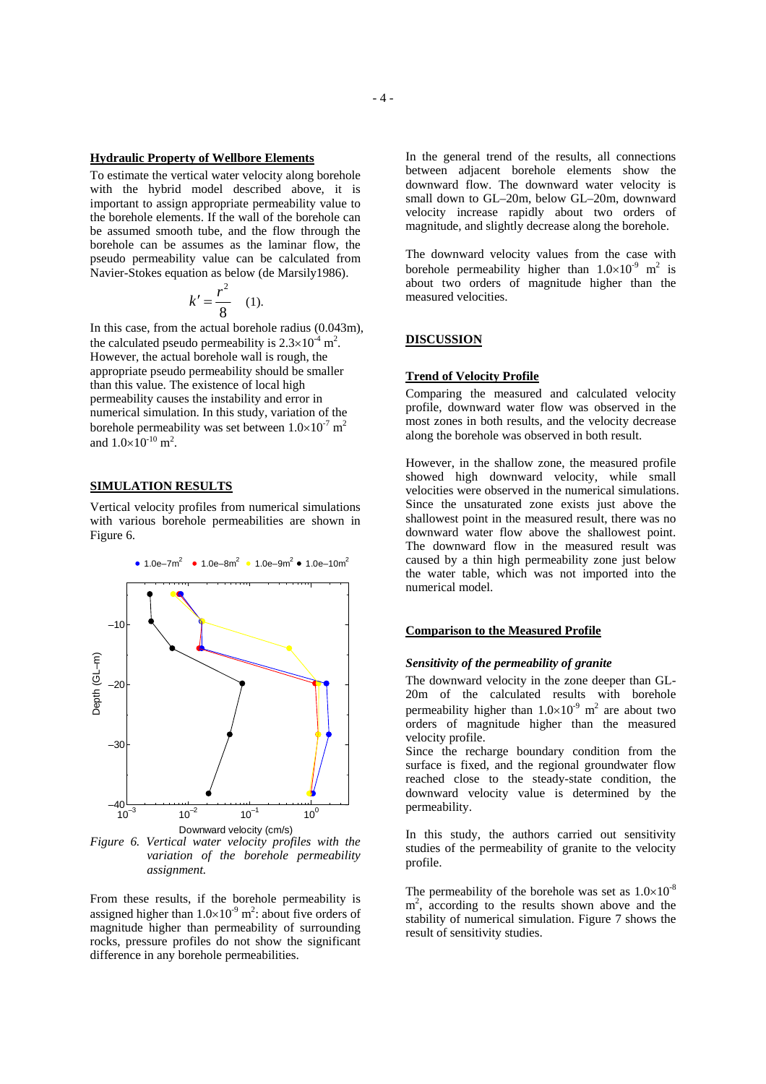### **Hydraulic Property of Wellbore Elements**

To estimate the vertical water velocity along borehole with the hybrid model described above, it is important to assign appropriate permeability value to the borehole elements. If the wall of the borehole can be assumed smooth tube, and the flow through the borehole can be assumes as the laminar flow, the pseudo permeability value can be calculated from Navier-Stokes equation as below (de Marsily1986).

$$
k'=\frac{r^2}{8} \quad (1).
$$

In this case, from the actual borehole radius (0.043m), the calculated pseudo permeability is  $2.3 \times 10^{-4}$  m<sup>2</sup>. However, the actual borehole wall is rough, the appropriate pseudo permeability should be smaller than this value. The existence of local high permeability causes the instability and error in numerical simulation. In this study, variation of the borehole permeability was set between  $1.0\times10^{-7}$  m<sup>2</sup> and  $1.0 \times 10^{-10}$  m<sup>2</sup>.

### **SIMULATION RESULTS**

Vertical velocity profiles from numerical simulations with various borehole permeabilities are shown in Figure 6.



*Figure 6. Vertical water velocity profiles with the variation of the borehole permeability assignment.* 

From these results, if the borehole permeability is assigned higher than  $1.0 \times 10^{-9}$  m<sup>2</sup>: about five orders of magnitude higher than permeability of surrounding rocks, pressure profiles do not show the significant difference in any borehole permeabilities.

In the general trend of the results, all connections between adjacent borehole elements show the downward flow. The downward water velocity is small down to GL–20m, below GL–20m, downward velocity increase rapidly about two orders of magnitude, and slightly decrease along the borehole.

The downward velocity values from the case with borehole permeability higher than  $1.0 \times 10^{-9}$  m<sup>2</sup> is about two orders of magnitude higher than the measured velocities.

### **DISCUSSION**

### **Trend of Velocity Profile**

Comparing the measured and calculated velocity profile, downward water flow was observed in the most zones in both results, and the velocity decrease along the borehole was observed in both result.

However, in the shallow zone, the measured profile showed high downward velocity, while small velocities were observed in the numerical simulations. Since the unsaturated zone exists just above the shallowest point in the measured result, there was no downward water flow above the shallowest point. The downward flow in the measured result was caused by a thin high permeability zone just below the water table, which was not imported into the numerical model.

## **Comparison to the Measured Profile**

### *Sensitivity of the permeability of granite*

The downward velocity in the zone deeper than GL-20m of the calculated results with borehole permeability higher than  $1.0 \times 10^{-9}$  m<sup>2</sup> are about two orders of magnitude higher than the measured velocity profile.

Since the recharge boundary condition from the surface is fixed, and the regional groundwater flow reached close to the steady-state condition, the downward velocity value is determined by the permeability.

In this study, the authors carried out sensitivity studies of the permeability of granite to the velocity profile.

The permeability of the borehole was set as  $1.0\times10^{-8}$ m<sup>2</sup>, according to the results shown above and the stability of numerical simulation. Figure 7 shows the result of sensitivity studies.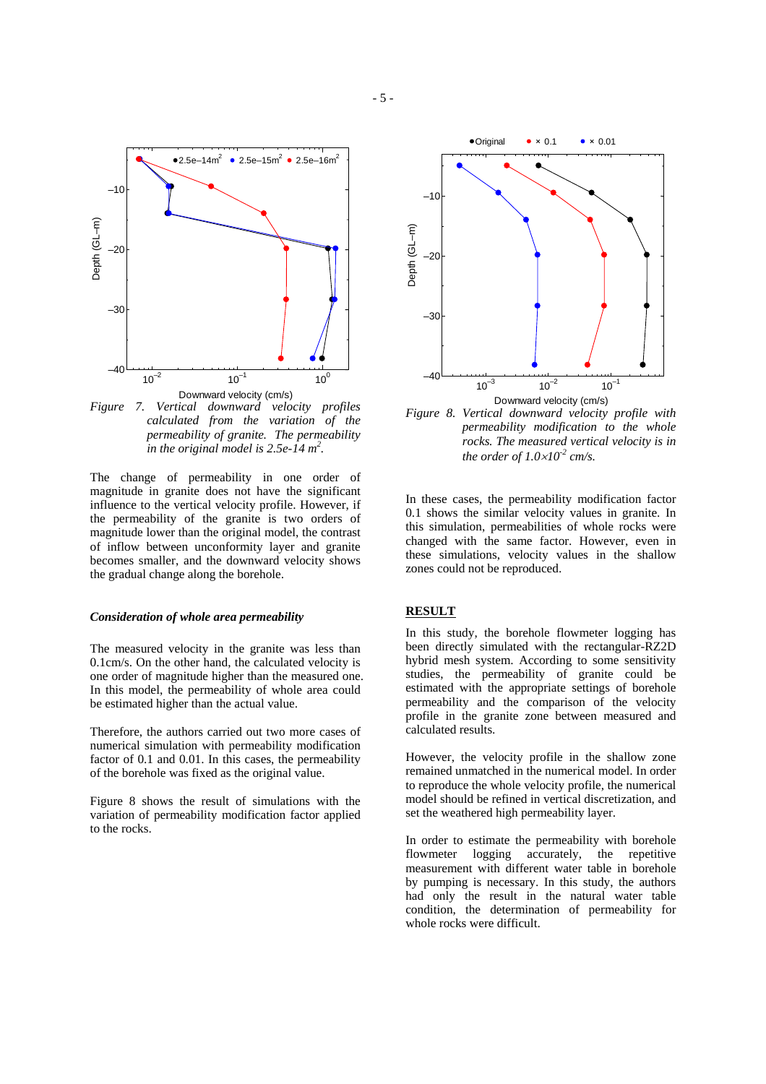

*Figure 7. Vertical downward velocity profiles calculated from the variation of the permeability of granite. The permeability in the original model is 2.5e-14 m2 .* 

The change of permeability in one order of magnitude in granite does not have the significant influence to the vertical velocity profile. However, if the permeability of the granite is two orders of magnitude lower than the original model, the contrast of inflow between unconformity layer and granite becomes smaller, and the downward velocity shows the gradual change along the borehole.

#### *Consideration of whole area permeability*

The measured velocity in the granite was less than 0.1cm/s. On the other hand, the calculated velocity is one order of magnitude higher than the measured one. In this model, the permeability of whole area could be estimated higher than the actual value.

Therefore, the authors carried out two more cases of numerical simulation with permeability modification factor of 0.1 and 0.01. In this cases, the permeability of the borehole was fixed as the original value.

Figure 8 shows the result of simulations with the variation of permeability modification factor applied to the rocks.



*Figure 8. Vertical downward velocity profile with permeability modification to the whole rocks. The measured vertical velocity is in the order of*  $1.0 \times 10^{-2}$  *cm/s.* 

In these cases, the permeability modification factor 0.1 shows the similar velocity values in granite. In this simulation, permeabilities of whole rocks were changed with the same factor. However, even in these simulations, velocity values in the shallow zones could not be reproduced.

### **RESULT**

In this study, the borehole flowmeter logging has been directly simulated with the rectangular-RZ2D hybrid mesh system. According to some sensitivity studies, the permeability of granite could be estimated with the appropriate settings of borehole permeability and the comparison of the velocity profile in the granite zone between measured and calculated results.

However, the velocity profile in the shallow zone remained unmatched in the numerical model. In order to reproduce the whole velocity profile, the numerical model should be refined in vertical discretization, and set the weathered high permeability layer.

In order to estimate the permeability with borehole flowmeter logging accurately, the repetitive measurement with different water table in borehole by pumping is necessary. In this study, the authors had only the result in the natural water table condition, the determination of permeability for whole rocks were difficult.